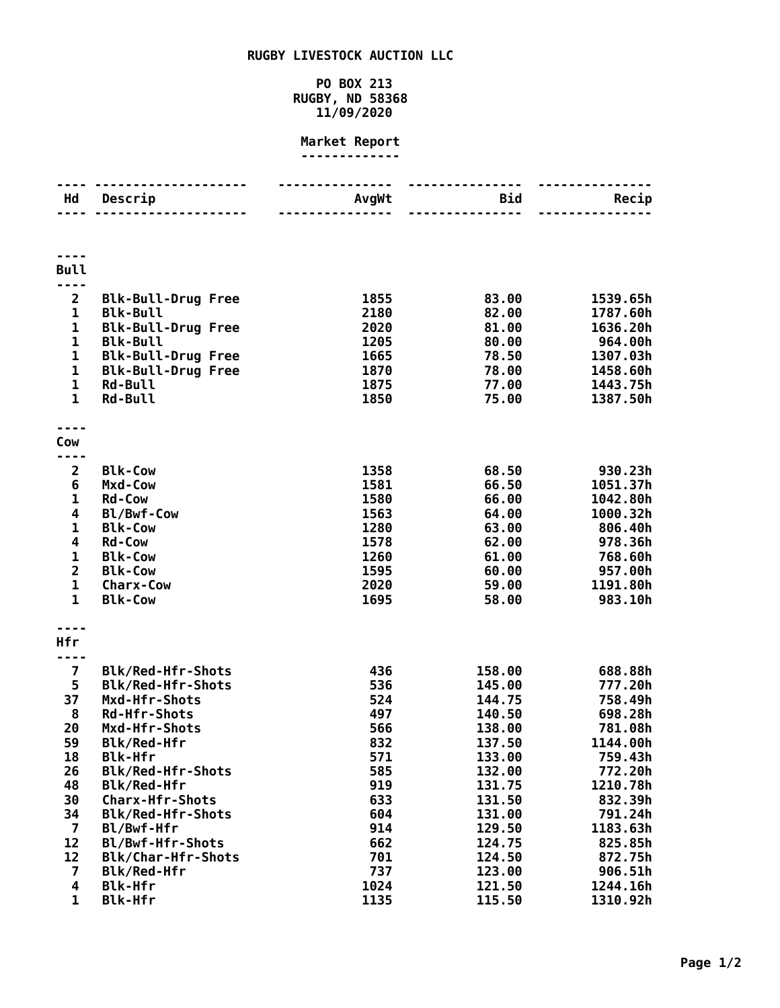## **RUGBY LIVESTOCK AUCTION LLC**

## **PO BOX 213 RUGBY, ND 58368 11/09/2020**

## **Market Report -------------**

| Hd                      | Descrip                                      | AvgWt        | <b>Bid</b>       | Recip                |
|-------------------------|----------------------------------------------|--------------|------------------|----------------------|
|                         |                                              |              |                  |                      |
|                         |                                              |              |                  |                      |
|                         |                                              |              |                  |                      |
| <b>Bull</b>             |                                              |              |                  |                      |
|                         |                                              |              |                  |                      |
| $\overline{2}$<br>1     | <b>Blk-Bull-Drug Free</b><br><b>Blk-Bull</b> | 1855<br>2180 | 83.00<br>82.00   | 1539.65h<br>1787.60h |
| 1                       | <b>Blk-Bull-Drug Free</b>                    | 2020         | 81.00            | 1636.20h             |
| $\mathbf 1$             | <b>Blk-Bull</b>                              | 1205         | 80.00            | 964.00h              |
| 1                       | <b>Blk-Bull-Drug Free</b>                    | 1665         | 78.50            | 1307.03h             |
| 1                       | <b>Blk-Bull-Drug Free</b>                    | 1870         | 78.00            | 1458.60h             |
| $\mathbf 1$             | <b>Rd-Bull</b>                               | 1875         | 77.00            | 1443.75h             |
| $\mathbf{1}$            | <b>Rd-Bull</b>                               | 1850         | 75.00            | 1387.50h             |
|                         |                                              |              |                  |                      |
| Cow                     |                                              |              |                  |                      |
| 2                       | <b>Blk-Cow</b>                               | 1358         | 68.50            | 930.23h              |
| 6                       | Mxd-Cow                                      | 1581         | 66.50            | 1051.37h             |
| 1                       | <b>Rd-Cow</b>                                | 1580         | 66.00            | 1042.80h             |
| 4                       | Bl/Bwf-Cow                                   | 1563         | 64.00            | 1000.32h             |
| 1                       | <b>Blk-Cow</b>                               | 1280         | 63.00            | 806.40h              |
| 4                       | <b>Rd-Cow</b>                                | 1578         | 62.00            | 978.36h              |
| $\mathbf 1$             | <b>Blk-Cow</b>                               | 1260         | 61.00            | 768.60h              |
| $\overline{\mathbf{2}}$ | <b>Blk-Cow</b>                               | 1595         | 60.00            | 957.00h              |
| 1<br>$\mathbf{1}$       | <b>Charx-Cow</b><br><b>Blk-Cow</b>           | 2020<br>1695 | 59.00<br>58.00   | 1191.80h<br>983.10h  |
|                         |                                              |              |                  |                      |
|                         |                                              |              |                  |                      |
| Hfr                     |                                              |              |                  |                      |
| 7                       | <b>Blk/Red-Hfr-Shots</b>                     | 436          | 158.00           | 688.88h              |
| 5                       | <b>Blk/Red-Hfr-Shots</b>                     | 536          | 145.00           | 777.20h              |
| 37                      | Mxd-Hfr-Shots                                | 524          | 144.75           | 758.49h              |
| 8                       | <b>Rd-Hfr-Shots</b>                          | 497          | 140.50           | 698.28h              |
| 20<br>59                | Mxd-Hfr-Shots                                | 566          | 138.00           | 781.08h<br>1144.00h  |
| 18                      | Blk/Red-Hfr<br><b>Blk-Hfr</b>                | 832<br>571   | 137.50<br>133.00 | 759.43h              |
| 26                      | Blk/Red-Hfr-Shots                            | 585          | 132.00           | 772.20h              |
| 48                      | Blk/Red-Hfr                                  | 919          | 131.75           | 1210.78h             |
| 30                      | <b>Charx-Hfr-Shots</b>                       | 633          | 131.50           | 832.39h              |
| 34                      | <b>Blk/Red-Hfr-Shots</b>                     | 604          | 131.00           | 791.24h              |
| 7                       | Bl/Bwf-Hfr                                   | 914          | 129.50           | 1183.63h             |
| 12                      | Bl/Bwf-Hfr-Shots                             | 662          | 124.75           | 825.85h              |
| 12                      | Blk/Char-Hfr-Shots                           | 701          | 124.50           | 872.75h              |
| 7                       | Blk/Red-Hfr                                  | 737          | 123.00           | 906.51h              |
| 4<br>$\mathbf{1}$       | <b>Blk-Hfr</b><br><b>Blk-Hfr</b>             | 1024<br>1135 | 121.50<br>115.50 | 1244.16h<br>1310.92h |
|                         |                                              |              |                  |                      |